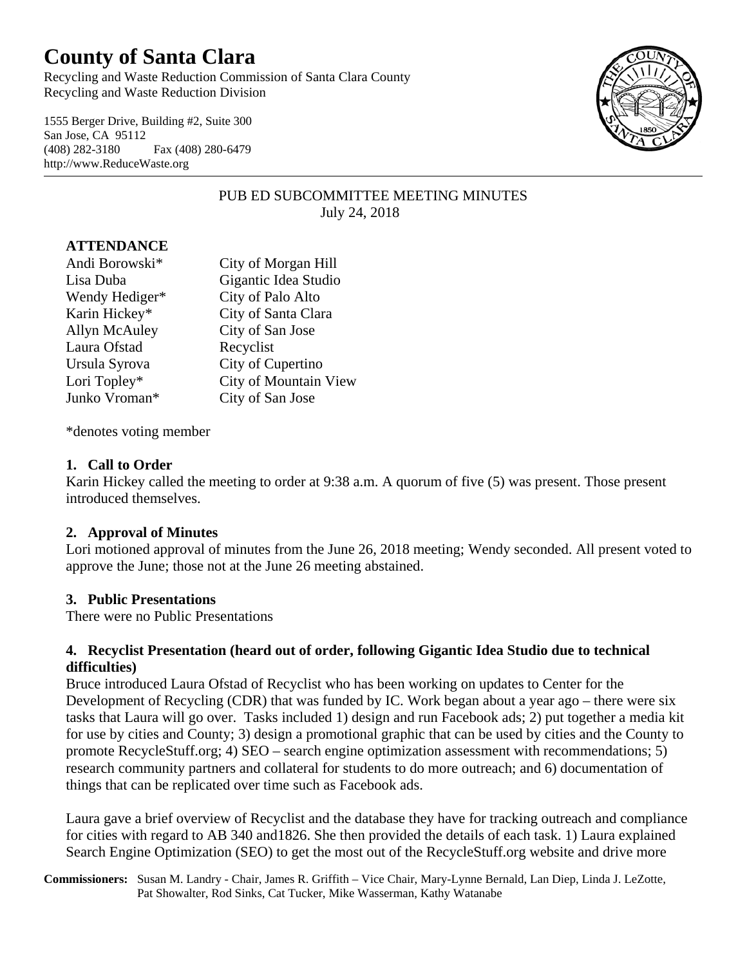# **County of Santa Clara**

Recycling and Waste Reduction Commission of Santa Clara County Recycling and Waste Reduction Division

1555 Berger Drive, Building #2, Suite 300 San Jose, CA 95112 (408) 282-3180 Fax (408) 280-6479 http://www.ReduceWaste.org



# PUB ED SUBCOMMITTEE MEETING MINUTES July 24, 2018

# **ATTENDANCE**

| Andi Borowski* | City of Morgan Hill   |
|----------------|-----------------------|
| Lisa Duba      | Gigantic Idea Studio  |
| Wendy Hediger* | City of Palo Alto     |
| Karin Hickey*  | City of Santa Clara   |
| Allyn McAuley  | City of San Jose      |
| Laura Ofstad   | Recyclist             |
| Ursula Syrova  | City of Cupertino     |
| Lori Topley*   | City of Mountain View |
| Junko Vroman*  | City of San Jose      |

\*denotes voting member

#### **1. Call to Order**

Karin Hickey called the meeting to order at 9:38 a.m. A quorum of five (5) was present. Those present introduced themselves.

#### **2. Approval of Minutes**

Lori motioned approval of minutes from the June 26, 2018 meeting; Wendy seconded. All present voted to approve the June; those not at the June 26 meeting abstained.

#### **3. Public Presentations**

There were no Public Presentations

#### **4. Recyclist Presentation (heard out of order, following Gigantic Idea Studio due to technical difficulties)**

Bruce introduced Laura Ofstad of Recyclist who has been working on updates to Center for the Development of Recycling (CDR) that was funded by IC. Work began about a year ago – there were six tasks that Laura will go over. Tasks included 1) design and run Facebook ads; 2) put together a media kit for use by cities and County; 3) design a promotional graphic that can be used by cities and the County to promote RecycleStuff.org; 4) SEO – search engine optimization assessment with recommendations; 5) research community partners and collateral for students to do more outreach; and 6) documentation of things that can be replicated over time such as Facebook ads.

Laura gave a brief overview of Recyclist and the database they have for tracking outreach and compliance for cities with regard to AB 340 and1826. She then provided the details of each task. 1) Laura explained Search Engine Optimization (SEO) to get the most out of the RecycleStuff.org website and drive more

**Commissioners:** Susan M. Landry - Chair, James R. Griffith – Vice Chair, Mary-Lynne Bernald, Lan Diep, Linda J. LeZotte, Pat Showalter, Rod Sinks, Cat Tucker, Mike Wasserman, Kathy Watanabe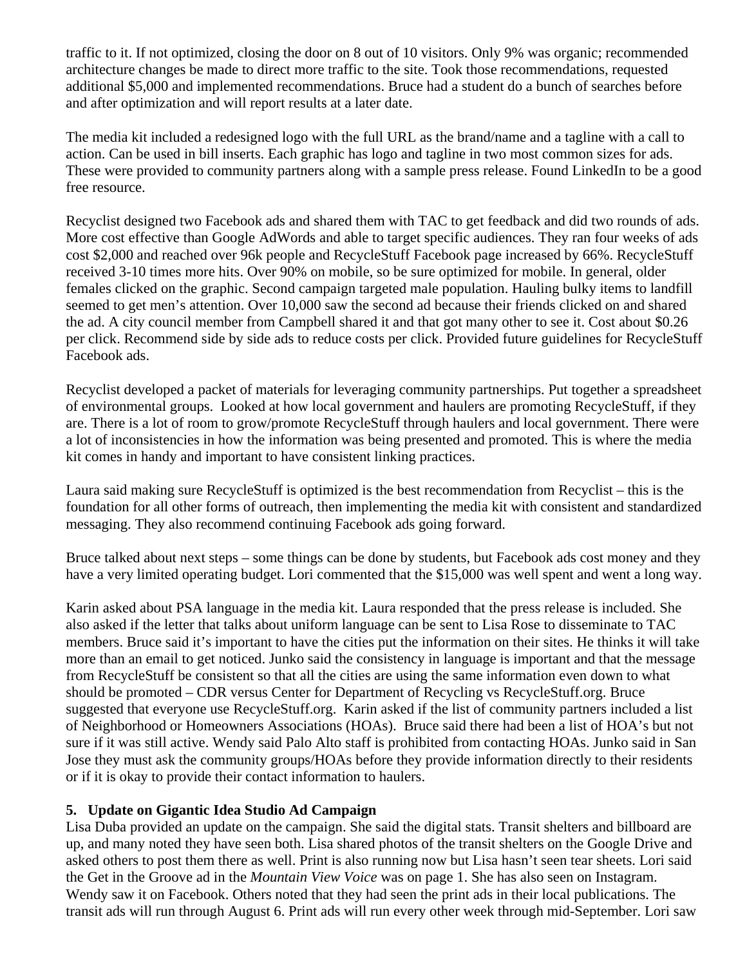traffic to it. If not optimized, closing the door on 8 out of 10 visitors. Only 9% was organic; recommended architecture changes be made to direct more traffic to the site. Took those recommendations, requested additional \$5,000 and implemented recommendations. Bruce had a student do a bunch of searches before and after optimization and will report results at a later date.

The media kit included a redesigned logo with the full URL as the brand/name and a tagline with a call to action. Can be used in bill inserts. Each graphic has logo and tagline in two most common sizes for ads. These were provided to community partners along with a sample press release. Found LinkedIn to be a good free resource.

Recyclist designed two Facebook ads and shared them with TAC to get feedback and did two rounds of ads. More cost effective than Google AdWords and able to target specific audiences. They ran four weeks of ads cost \$2,000 and reached over 96k people and RecycleStuff Facebook page increased by 66%. RecycleStuff received 3-10 times more hits. Over 90% on mobile, so be sure optimized for mobile. In general, older females clicked on the graphic. Second campaign targeted male population. Hauling bulky items to landfill seemed to get men's attention. Over 10,000 saw the second ad because their friends clicked on and shared the ad. A city council member from Campbell shared it and that got many other to see it. Cost about \$0.26 per click. Recommend side by side ads to reduce costs per click. Provided future guidelines for RecycleStuff Facebook ads.

Recyclist developed a packet of materials for leveraging community partnerships. Put together a spreadsheet of environmental groups. Looked at how local government and haulers are promoting RecycleStuff, if they are. There is a lot of room to grow/promote RecycleStuff through haulers and local government. There were a lot of inconsistencies in how the information was being presented and promoted. This is where the media kit comes in handy and important to have consistent linking practices.

Laura said making sure RecycleStuff is optimized is the best recommendation from Recyclist – this is the foundation for all other forms of outreach, then implementing the media kit with consistent and standardized messaging. They also recommend continuing Facebook ads going forward.

Bruce talked about next steps – some things can be done by students, but Facebook ads cost money and they have a very limited operating budget. Lori commented that the \$15,000 was well spent and went a long way.

Karin asked about PSA language in the media kit. Laura responded that the press release is included. She also asked if the letter that talks about uniform language can be sent to Lisa Rose to disseminate to TAC members. Bruce said it's important to have the cities put the information on their sites. He thinks it will take more than an email to get noticed. Junko said the consistency in language is important and that the message from RecycleStuff be consistent so that all the cities are using the same information even down to what should be promoted – CDR versus Center for Department of Recycling vs RecycleStuff.org. Bruce suggested that everyone use RecycleStuff.org. Karin asked if the list of community partners included a list of Neighborhood or Homeowners Associations (HOAs). Bruce said there had been a list of HOA's but not sure if it was still active. Wendy said Palo Alto staff is prohibited from contacting HOAs. Junko said in San Jose they must ask the community groups/HOAs before they provide information directly to their residents or if it is okay to provide their contact information to haulers.

# **5. Update on Gigantic Idea Studio Ad Campaign**

Lisa Duba provided an update on the campaign. She said the digital stats. Transit shelters and billboard are up, and many noted they have seen both. Lisa shared photos of the transit shelters on the Google Drive and asked others to post them there as well. Print is also running now but Lisa hasn't seen tear sheets. Lori said the Get in the Groove ad in the *Mountain View Voice* was on page 1. She has also seen on Instagram. Wendy saw it on Facebook. Others noted that they had seen the print ads in their local publications. The transit ads will run through August 6. Print ads will run every other week through mid-September. Lori saw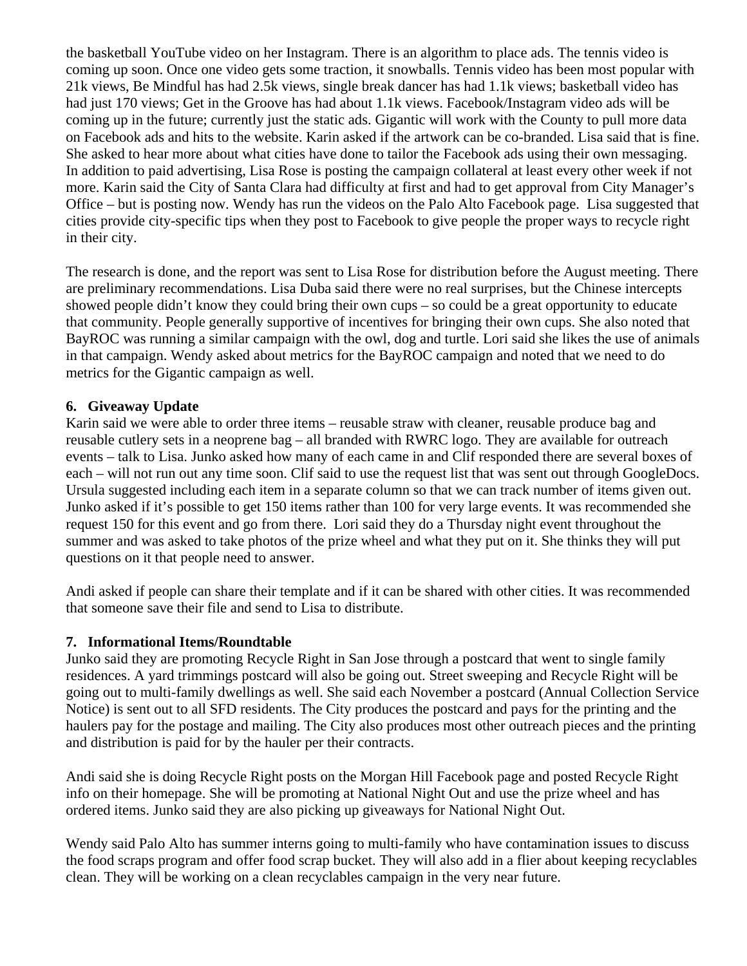the basketball YouTube video on her Instagram. There is an algorithm to place ads. The tennis video is coming up soon. Once one video gets some traction, it snowballs. Tennis video has been most popular with 21k views, Be Mindful has had 2.5k views, single break dancer has had 1.1k views; basketball video has had just 170 views; Get in the Groove has had about 1.1k views. Facebook/Instagram video ads will be coming up in the future; currently just the static ads. Gigantic will work with the County to pull more data on Facebook ads and hits to the website. Karin asked if the artwork can be co-branded. Lisa said that is fine. She asked to hear more about what cities have done to tailor the Facebook ads using their own messaging. In addition to paid advertising, Lisa Rose is posting the campaign collateral at least every other week if not more. Karin said the City of Santa Clara had difficulty at first and had to get approval from City Manager's Office – but is posting now. Wendy has run the videos on the Palo Alto Facebook page. Lisa suggested that cities provide city-specific tips when they post to Facebook to give people the proper ways to recycle right in their city.

The research is done, and the report was sent to Lisa Rose for distribution before the August meeting. There are preliminary recommendations. Lisa Duba said there were no real surprises, but the Chinese intercepts showed people didn't know they could bring their own cups – so could be a great opportunity to educate that community. People generally supportive of incentives for bringing their own cups. She also noted that BayROC was running a similar campaign with the owl, dog and turtle. Lori said she likes the use of animals in that campaign. Wendy asked about metrics for the BayROC campaign and noted that we need to do metrics for the Gigantic campaign as well.

# **6. Giveaway Update**

Karin said we were able to order three items – reusable straw with cleaner, reusable produce bag and reusable cutlery sets in a neoprene bag – all branded with RWRC logo. They are available for outreach events – talk to Lisa. Junko asked how many of each came in and Clif responded there are several boxes of each – will not run out any time soon. Clif said to use the request list that was sent out through GoogleDocs. Ursula suggested including each item in a separate column so that we can track number of items given out. Junko asked if it's possible to get 150 items rather than 100 for very large events. It was recommended she request 150 for this event and go from there. Lori said they do a Thursday night event throughout the summer and was asked to take photos of the prize wheel and what they put on it. She thinks they will put questions on it that people need to answer.

Andi asked if people can share their template and if it can be shared with other cities. It was recommended that someone save their file and send to Lisa to distribute.

# **7. Informational Items/Roundtable**

Junko said they are promoting Recycle Right in San Jose through a postcard that went to single family residences. A yard trimmings postcard will also be going out. Street sweeping and Recycle Right will be going out to multi-family dwellings as well. She said each November a postcard (Annual Collection Service Notice) is sent out to all SFD residents. The City produces the postcard and pays for the printing and the haulers pay for the postage and mailing. The City also produces most other outreach pieces and the printing and distribution is paid for by the hauler per their contracts.

Andi said she is doing Recycle Right posts on the Morgan Hill Facebook page and posted Recycle Right info on their homepage. She will be promoting at National Night Out and use the prize wheel and has ordered items. Junko said they are also picking up giveaways for National Night Out.

Wendy said Palo Alto has summer interns going to multi-family who have contamination issues to discuss the food scraps program and offer food scrap bucket. They will also add in a flier about keeping recyclables clean. They will be working on a clean recyclables campaign in the very near future.